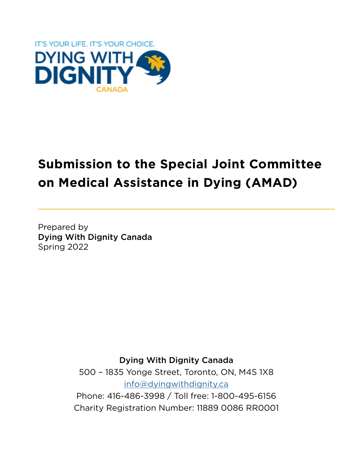

# **Submission to the Special Joint Committee on Medical Assistance in Dying (AMAD)**

Prepared by Dying With Dignity Canada Spring 2022

## Dying With Dignity Canada

500 – 1835 Yonge Street, Toronto, ON, M4S 1X8 [info@dyingwithdignity.ca](mailto:info%40dyingwithdignity.ca?subject=)  Phone: 416-486-3998 / Toll free: 1-800-495-6156 Charity Registration Number: 11889 0086 RR0001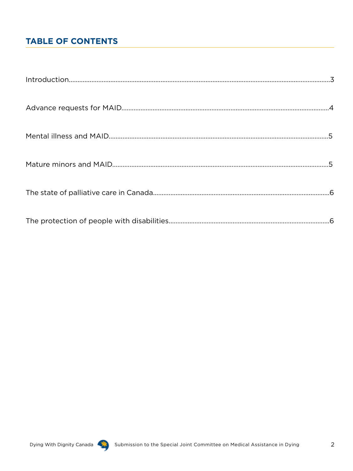## **TABLE OF CONTENTS**

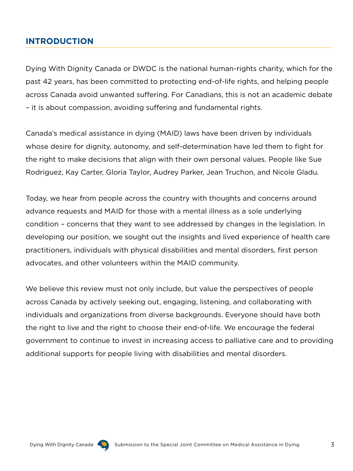#### <span id="page-2-0"></span>**INTRODUCTION**

Dying With Dignity Canada or DWDC is the national human-rights charity, which for the past 42 years, has been committed to protecting end-of-life rights, and helping people across Canada avoid unwanted sufering. For Canadians, this is not an academic debate – it is about compassion, avoiding sufering and fundamental rights.

Canada's medical assistance in dying (MAID) laws have been driven by individuals whose desire for dignity, autonomy, and self-determination have led them to fight for the right to make decisions that align with their own personal values. People like Sue Rodriguez, Kay Carter, Gloria Taylor, Audrey Parker, Jean Truchon, and Nicole Gladu.

Today, we hear from people across the country with thoughts and concerns around advance requests and MAID for those with a mental illness as a sole underlying condition – concerns that they want to see addressed by changes in the legislation. In developing our position, we sought out the insights and lived experience of health care practitioners, individuals with physical disabilities and mental disorders, frst person advocates, and other volunteers within the MAID community.

We believe this review must not only include, but value the perspectives of people across Canada by actively seeking out, engaging, listening, and collaborating with individuals and organizations from diverse backgrounds. Everyone should have both the right to live and the right to choose their end-of-life. We encourage the federal government to continue to invest in increasing access to palliative care and to providing additional supports for people living with disabilities and mental disorders.

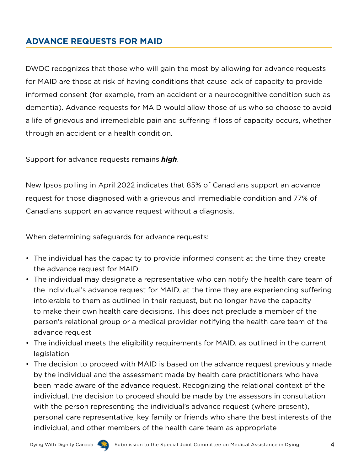## <span id="page-3-0"></span>**ADVANCE REQUESTS FOR MAID**

DWDC recognizes that those who will gain the most by allowing for advance requests for MAID are those at risk of having conditions that cause lack of capacity to provide informed consent (for example, from an accident or a neurocognitive condition such as dementia). Advance requests for MAID would allow those of us who so choose to avoid a life of grievous and irremediable pain and sufering if loss of capacity occurs, whether through an accident or a health condition.

Support for advance requests remains *high*.

New Ipsos polling in April 2022 indicates that 85% of Canadians support an advance request for those diagnosed with a grievous and irremediable condition and 77% of Canadians support an advance request without a diagnosis.

When determining safeguards for advance requests:

- The individual has the capacity to provide informed consent at the time they create the advance request for MAID
- The individual may designate a representative who can notify the health care team of the individual's advance request for MAID, at the time they are experiencing sufering intolerable to them as outlined in their request, but no longer have the capacity to make their own health care decisions. This does not preclude a member of the person's relational group or a medical provider notifying the health care team of the advance request
- The individual meets the eligibility requirements for MAID, as outlined in the current legislation
- The decision to proceed with MAID is based on the advance request previously made by the individual and the assessment made by health care practitioners who have been made aware of the advance request. Recognizing the relational context of the individual, the decision to proceed should be made by the assessors in consultation with the person representing the individual's advance request (where present), personal care representative, key family or friends who share the best interests of the individual, and other members of the health care team as appropriate

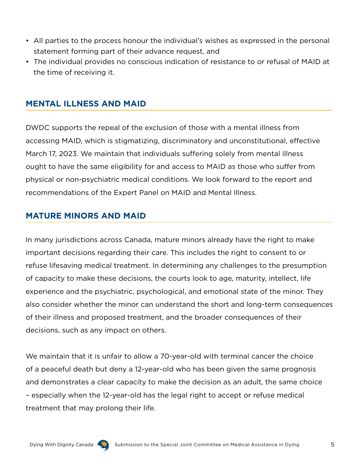- <span id="page-4-0"></span>• All parties to the process honour the individual's wishes as expressed in the personal statement forming part of their advance request, and
- The individual provides no conscious indication of resistance to or refusal of MAID at the time of receiving it.

#### **MENTAL ILLNESS AND MAID**

DWDC supports the repeal of the exclusion of those with a mental illness from accessing MAID, which is stigmatizing, discriminatory and unconstitutional, efective March 17, 2023. We maintain that individuals sufering solely from mental illness ought to have the same eligibility for and access to MAID as those who sufer from physical or non-psychiatric medical conditions. We look forward to the report and recommendations of the Expert Panel on MAID and Mental Illness.

#### **MATURE MINORS AND MAID**

In many jurisdictions across Canada, mature minors already have the right to make important decisions regarding their care. This includes the right to consent to or refuse lifesaving medical treatment. In determining any challenges to the presumption of capacity to make these decisions, the courts look to age, maturity, intellect, life experience and the psychiatric, psychological, and emotional state of the minor. They also consider whether the minor can understand the short and long-term consequences of their illness and proposed treatment, and the broader consequences of their decisions, such as any impact on others.

We maintain that it is unfair to allow a 70-year-old with terminal cancer the choice of a peaceful death but deny a 12-year-old who has been given the same prognosis and demonstrates a clear capacity to make the decision as an adult, the same choice – especially when the 12-year-old has the legal right to accept or refuse medical treatment that may prolong their life.